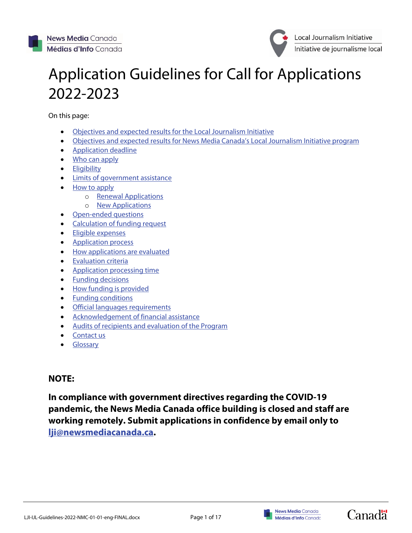

# Application Guidelines for Call for Applications 2022-2023

On this page:

- [Objectives and expected results for the Local Journalism Initiative](#page-1-0)
- [Objectives and expected results for News Media Canada's Local Journalism Initiative program](#page-1-1)
- [Application deadline](#page-1-2)
- [Who can apply](#page-1-3)
- [Eligibility](#page-3-0)
- [Limits of government assistance](#page-3-0)
- [How to apply](#page-3-1)
	- o [Renewal Applications](#page-3-1)
		- o [New Applications](#page-3-1)
- [Open-ended questions](#page-4-0)
- [Calculation of funding request](#page-6-0)
- [Eligible expenses](#page-6-1)
- [Application process](#page-6-2)
- [How applications are evaluated](#page-7-0)
- [Evaluation criteria](#page-7-1)
- [Application processing time](#page-7-2)
- [Funding decisions](#page-7-3)
- [How funding is provided](#page-7-4)
- [Funding conditions](#page-8-0)
- [Official languages requirements](#page-8-1)
- [Acknowledgement of financial assistance](#page-8-2)
- [Audits of recipients and evaluation of the Program](#page-9-0)
- [Contact us](#page-9-1)
- **[Glossary](#page-10-0)**

# **NOTE:**

**In compliance with government directives regarding the COVID-19 pandemic, the News Media Canada office building is closed and staff are working remotely. Submit applications in confidence by email only to [lji@newsmediacanada.ca.](mailto:lji@newsmediacanada.ca)**



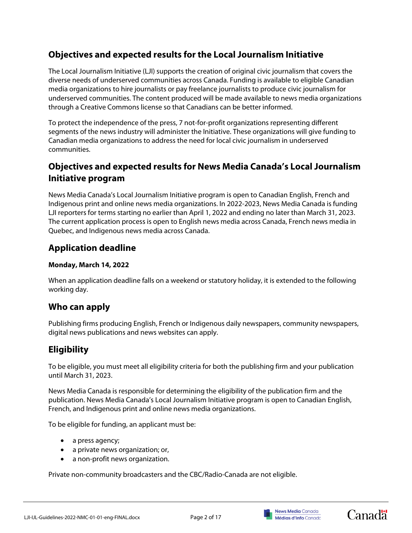# <span id="page-1-0"></span>**Objectives and expected results for the Local Journalism Initiative**

The Local Journalism Initiative (LJI) supports the creation of original civic journalism that covers the diverse needs of underserved communities across Canada. Funding is available to eligible Canadian media organizations to hire journalists or pay freelance journalists to produce civic journalism for underserved communities. The content produced will be made available to news media organizations through a Creative Commons license so that Canadians can be better informed.

To protect the independence of the press, 7 not-for-profit organizations representing different segments of the news industry will administer the Initiative. These organizations will give funding to Canadian media organizations to address the need for local civic journalism in underserved communities.

# <span id="page-1-1"></span>**Objectives and expected results for News Media Canada's Local Journalism Initiative program**

News Media Canada's Local Journalism Initiative program is open to Canadian English, French and Indigenous print and online news media organizations. In 2022-2023, News Media Canada is funding LJI reporters for terms starting no earlier than April 1, 2022 and ending no later than March 31, 2023. The current application process is open to English news media across Canada, French news media in Quebec, and Indigenous news media across Canada.

# <span id="page-1-2"></span>**Application deadline**

# **Monday, March 14, 2022**

When an application deadline falls on a weekend or statutory holiday, it is extended to the following working day.

# <span id="page-1-3"></span>**Who can apply**

Publishing firms producing English, French or Indigenous daily newspapers, community newspapers, digital news publications and news websites can apply.

# **Eligibility**

To be eligible, you must meet all eligibility criteria for both the publishing firm and your publication until March 31, 2023.

News Media Canada is responsible for determining the eligibility of the publication firm and the publication. News Media Canada's Local Journalism Initiative program is open to Canadian English, French, and Indigenous print and online news media organizations.

To be eligible for funding, an applicant must be:

- a press agency;
- a private news organization; or,
- a non-profit news organization.

Private non-community broadcasters and the CBC/Radio-Canada are not eligible.



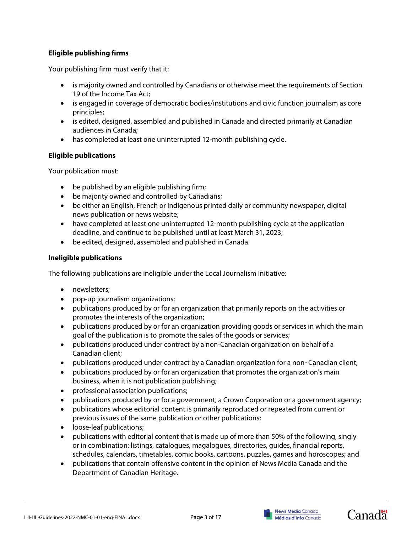# **Eligible publishing firms**

Your publishing firm must verify that it:

- is majority owned and controlled by Canadians or otherwise meet the requirements of Section 19 of the Income Tax Act;
- is engaged in coverage of democratic bodies/institutions and civic function journalism as core principles;
- is edited, designed, assembled and published in Canada and directed primarily at Canadian audiences in Canada;
- has completed at least one uninterrupted 12-month publishing cycle.

# **Eligible publications**

Your publication must:

- be published by an eligible publishing firm;
- be majority owned and controlled by Canadians;
- be either an English, French or Indigenous printed daily or community newspaper, digital news publication or news website;
- have completed at least one uninterrupted 12-month publishing cycle at the application deadline, and continue to be published until at least March 31, 2023;
- be edited, designed, assembled and published in Canada.

# **Ineligible publications**

The following publications are ineligible under the Local Journalism Initiative:

- newsletters;
- pop-up journalism organizations;
- publications produced by or for an organization that primarily reports on the activities or promotes the interests of the organization;
- publications produced by or for an organization providing goods or services in which the main goal of the publication is to promote the sales of the goods or services;
- publications produced under contract by a non-Canadian organization on behalf of a Canadian client;
- publications produced under contract by a Canadian organization for a non‑Canadian client;
- publications produced by or for an organization that promotes the organization's main business, when it is not publication publishing;
- professional association publications;
- publications produced by or for a government, a Crown Corporation or a government agency;
- publications whose editorial content is primarily reproduced or repeated from current or previous issues of the same publication or other publications;
- loose-leaf publications;
- publications with editorial content that is made up of more than 50% of the following, singly or in combination: listings, catalogues, magalogues, directories, guides, financial reports, schedules, calendars, timetables, comic books, cartoons, puzzles, games and horoscopes; and
- publications that contain offensive content in the opinion of News Media Canada and the Department of Canadian Heritage.



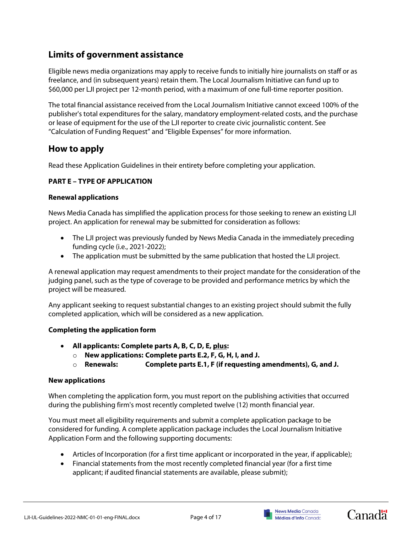# <span id="page-3-0"></span>**Limits of government assistance**

Eligible news media organizations may apply to receive funds to initially hire journalists on staff or as freelance, and (in subsequent years) retain them. The Local Journalism Initiative can fund up to \$60,000 per LJI project per 12-month period, with a maximum of one full-time reporter position.

The total financial assistance received from the Local Journalism Initiative cannot exceed 100% of the publisher's total expenditures for the salary, mandatory employment-related costs, and the purchase or lease of equipment for the use of the LJI reporter to create civic journalistic content. See "Calculation of Funding Request" and "Eligible Expenses" for more information.

# <span id="page-3-1"></span>**How to apply**

Read these Application Guidelines in their entirety before completing your application.

# **PART E – TYPE OF APPLICATION**

# **Renewal applications**

News Media Canada has simplified the application process for those seeking to renew an existing LJI project. An application for renewal may be submitted for consideration as follows:

- The LJI project was previously funded by News Media Canada in the immediately preceding funding cycle (i.e., 2021-2022);
- The application must be submitted by the same publication that hosted the LJI project.

A renewal application may request amendments to their project mandate for the consideration of the judging panel, such as the type of coverage to be provided and performance metrics by which the project will be measured.

Any applicant seeking to request substantial changes to an existing project should submit the fully completed application, which will be considered as a new application.

# **Completing the application form**

- **All applicants: Complete parts A, B, C, D, E, plus:**
	- o **New applications: Complete parts E.2, F, G, H, I, and J.**
	- o **Renewals: Complete parts E.1, F (if requesting amendments), G, and J.**

# **New applications**

When completing the application form, you must report on the publishing activities that occurred during the publishing firm's most recently completed twelve (12) month financial year.

You must meet all eligibility requirements and submit a complete application package to be considered for funding. A complete application package includes the Local Journalism Initiative Application Form and the following supporting documents:

- Articles of Incorporation (for a first time applicant or incorporated in the year, if applicable);
- Financial statements from the most recently completed financial year (for a first time applicant; if audited financial statements are available, please submit);



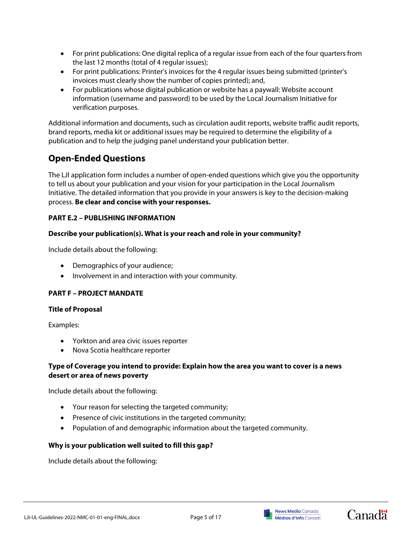- For print publications: One digital replica of a regular issue from each of the four quarters from the last 12 months (total of 4 regular issues);
- For print publications: Printer's invoices for the 4 regular issues being submitted (printer's invoices must clearly show the number of copies printed); and,
- For publications whose digital publication or website has a paywall: Website account information (username and password) to be used by the Local Journalism Initiative for verification purposes.

Additional information and documents, such as circulation audit reports, website traffic audit reports, brand reports, media kit or additional issues may be required to determine the eligibility of a publication and to help the judging panel understand your publication better.

# <span id="page-4-0"></span>**Open-Ended Questions**

The LJI application form includes a number of open-ended questions which give you the opportunity to tell us about your publication and your vision for your participation in the Local Journalism Initiative. The detailed information that you provide in your answers is key to the decision-making process. **Be clear and concise with your responses.**

# **PART E.2 – PUBLISHING INFORMATION**

### **Describe your publication(s). What is your reach and role in your community?**

Include details about the following:

- Demographics of your audience;
- Involvement in and interaction with your community.

# **PART F – PROJECT MANDATE**

### **Title of Proposal**

Examples:

- Yorkton and area civic issues reporter
- Nova Scotia healthcare reporter

### **Type of Coverage you intend to provide: Explain how the area you want to cover is a news desert or area of news poverty**

Include details about the following:

- Your reason for selecting the targeted community;
- Presence of civic institutions in the targeted community;
- Population of and demographic information about the targeted community.

### **Why is your publication well suited to fill this gap?**

Include details about the following:



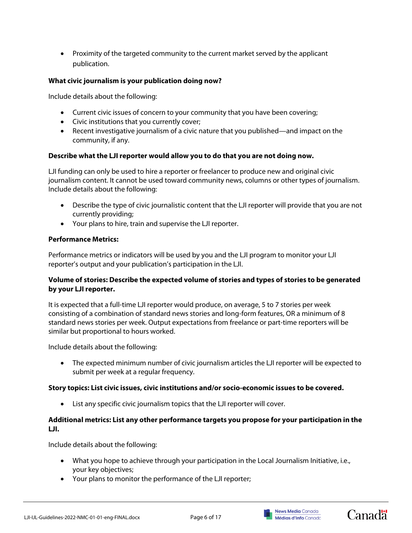• Proximity of the targeted community to the current market served by the applicant publication.

## **What civic journalism is your publication doing now?**

Include details about the following:

- Current civic issues of concern to your community that you have been covering;
- Civic institutions that you currently cover;
- Recent investigative journalism of a civic nature that you published—and impact on the community, if any.

### **Describe what the LJI reporter would allow you to do that you are not doing now.**

LJI funding can only be used to hire a reporter or freelancer to produce new and original civic journalism content. It cannot be used toward community news, columns or other types of journalism. Include details about the following:

- Describe the type of civic journalistic content that the LJI reporter will provide that you are not currently providing;
- Your plans to hire, train and supervise the LJI reporter.

### **Performance Metrics:**

Performance metrics or indicators will be used by you and the LJI program to monitor your LJI reporter's output and your publication's participation in the LJI.

# **Volume of stories: Describe the expected volume of stories and types of stories to be generated by your LJI reporter.**

It is expected that a full-time LJI reporter would produce, on average, 5 to 7 stories per week consisting of a combination of standard news stories and long-form features, OR a minimum of 8 standard news stories per week. Output expectations from freelance or part-time reporters will be similar but proportional to hours worked.

Include details about the following:

• The expected minimum number of civic journalism articles the LJI reporter will be expected to submit per week at a regular frequency.

### **Story topics: List civic issues, civic institutions and/or socio-economic issues to be covered.**

• List any specific civic journalism topics that the LJI reporter will cover.

# **Additional metrics: List any other performance targets you propose for your participation in the LJI.**

Include details about the following:

- What you hope to achieve through your participation in the Local Journalism Initiative, i.e., your key objectives;
- Your plans to monitor the performance of the LJI reporter;



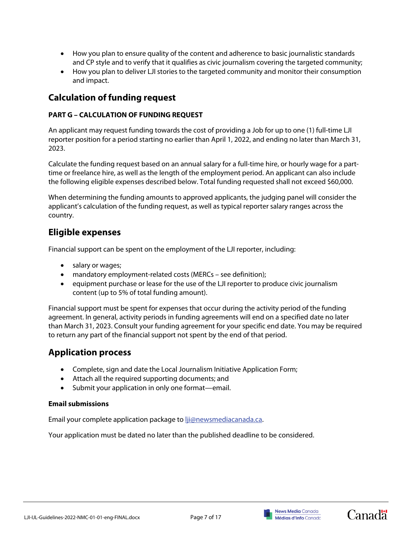- How you plan to ensure quality of the content and adherence to basic journalistic standards and CP style and to verify that it qualifies as civic journalism covering the targeted community;
- How you plan to deliver LJI stories to the targeted community and monitor their consumption and impact.

# <span id="page-6-0"></span>**Calculation of funding request**

# **PART G – CALCULATION OF FUNDING REQUEST**

An applicant may request funding towards the cost of providing a Job for up to one (1) full-time LJI reporter position for a period starting no earlier than April 1, 2022, and ending no later than March 31, 2023.

Calculate the funding request based on an annual salary for a full-time hire, or hourly wage for a parttime or freelance hire, as well as the length of the employment period. An applicant can also include the following eligible expenses described below. Total funding requested shall not exceed \$60,000.

When determining the funding amounts to approved applicants, the judging panel will consider the applicant's calculation of the funding request, as well as typical reporter salary ranges across the country.

# <span id="page-6-1"></span>**Eligible expenses**

Financial support can be spent on the employment of the LJI reporter, including:

- salary or wages;
- mandatory employment-related costs (MERCs see definition);
- equipment purchase or lease for the use of the LJI reporter to produce civic journalism content (up to 5% of total funding amount).

Financial support must be spent for expenses that occur during the activity period of the funding agreement. In general, activity periods in funding agreements will end on a specified date no later than March 31, 2023. Consult your funding agreement for your specific end date. You may be required to return any part of the financial support not spent by the end of that period.

# <span id="page-6-2"></span>**Application process**

- Complete, sign and date the Local Journalism Initiative Application Form;
- Attach all the required supporting documents; and
- Submit your application in only one format—email.

# **Email submissions**

Email your complete application package t[o lji@newsmediacanada.ca.](mailto:lji@newsmediacanada.ca)

Your application must be dated no later than the published deadline to be considered.





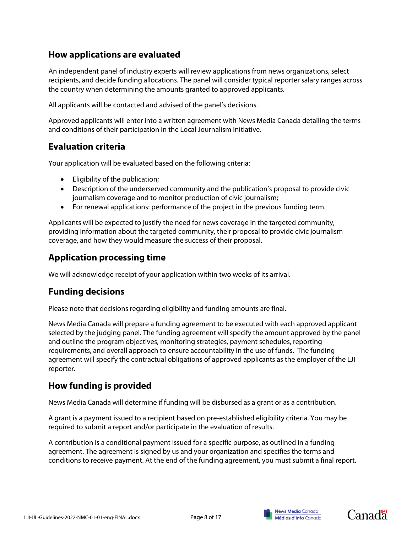# <span id="page-7-0"></span>**How applications are evaluated**

An independent panel of industry experts will review applications from news organizations, select recipients, and decide funding allocations. The panel will consider typical reporter salary ranges across the country when determining the amounts granted to approved applicants.

All applicants will be contacted and advised of the panel's decisions.

Approved applicants will enter into a written agreement with News Media Canada detailing the terms and conditions of their participation in the Local Journalism Initiative.

# <span id="page-7-1"></span>**Evaluation criteria**

Your application will be evaluated based on the following criteria:

- Eligibility of the publication;
- Description of the underserved community and the publication's proposal to provide civic journalism coverage and to monitor production of civic journalism;
- For renewal applications: performance of the project in the previous funding term.

Applicants will be expected to justify the need for news coverage in the targeted community, providing information about the targeted community, their proposal to provide civic journalism coverage, and how they would measure the success of their proposal.

# <span id="page-7-2"></span>**Application processing time**

We will acknowledge receipt of your application within two weeks of its arrival.

# <span id="page-7-3"></span>**Funding decisions**

Please note that decisions regarding eligibility and funding amounts are final.

News Media Canada will prepare a funding agreement to be executed with each approved applicant selected by the judging panel. The funding agreement will specify the amount approved by the panel and outline the program objectives, monitoring strategies, payment schedules, reporting requirements, and overall approach to ensure accountability in the use of funds. The funding agreement will specify the contractual obligations of approved applicants as the employer of the LJI reporter.

# <span id="page-7-4"></span>**How funding is provided**

News Media Canada will determine if funding will be disbursed as a grant or as a contribution.

A grant is a payment issued to a recipient based on pre-established eligibility criteria. You may be required to submit a report and/or participate in the evaluation of results.

A contribution is a conditional payment issued for a specific purpose, as outlined in a funding agreement. The agreement is signed by us and your organization and specifies the terms and conditions to receive payment. At the end of the funding agreement, you must submit a final report.



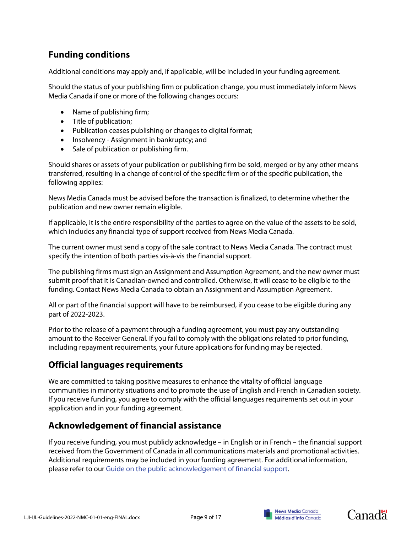# <span id="page-8-0"></span>**Funding conditions**

Additional conditions may apply and, if applicable, will be included in your funding agreement.

Should the status of your publishing firm or publication change, you must immediately inform News Media Canada if one or more of the following changes occurs:

- Name of publishing firm;
- Title of publication;
- Publication ceases publishing or changes to digital format;
- Insolvency Assignment in bankruptcy; and
- Sale of publication or publishing firm.

Should shares or assets of your publication or publishing firm be sold, merged or by any other means transferred, resulting in a change of control of the specific firm or of the specific publication, the following applies:

News Media Canada must be advised before the transaction is finalized, to determine whether the publication and new owner remain eligible.

If applicable, it is the entire responsibility of the parties to agree on the value of the assets to be sold, which includes any financial type of support received from News Media Canada.

The current owner must send a copy of the sale contract to News Media Canada. The contract must specify the intention of both parties vis-à-vis the financial support.

The publishing firms must sign an Assignment and Assumption Agreement, and the new owner must submit proof that it is Canadian-owned and controlled. Otherwise, it will cease to be eligible to the funding. Contact News Media Canada to obtain an Assignment and Assumption Agreement.

All or part of the financial support will have to be reimbursed, if you cease to be eligible during any part of 2022-2023.

Prior to the release of a payment through a funding agreement, you must pay any outstanding amount to the Receiver General. If you fail to comply with the obligations related to prior funding, including repayment requirements, your future applications for funding may be rejected.

# <span id="page-8-1"></span>**Official languages requirements**

We are committed to taking positive measures to enhance the vitality of official language communities in minority situations and to promote the use of English and French in Canadian society. If you receive funding, you agree to comply with the official languages requirements set out in your application and in your funding agreement.

# <span id="page-8-2"></span>**Acknowledgement of financial assistance**

If you receive funding, you must publicly acknowledge – in English or in French – the financial support received from the Government of Canada in all communications materials and promotional activities. Additional requirements may be included in your funding agreement. For additional information, please refer to ou[r Guide on the public acknowledgement of financial support.](https://www.canada.ca/en/canadian-heritage/services/funding/acknowledgement-financial-support.html)





**Canadä**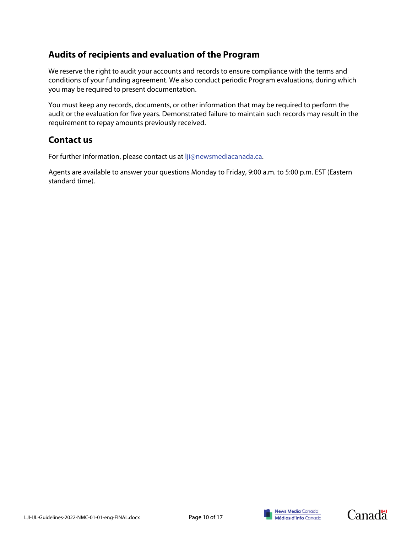# <span id="page-9-0"></span>**Audits of recipients and evaluation of the Program**

We reserve the right to audit your accounts and records to ensure compliance with the terms and conditions of your funding agreement. We also conduct periodic Program evaluations, during which you may be required to present documentation.

You must keep any records, documents, or other information that may be required to perform the audit or the evaluation for five years. Demonstrated failure to maintain such records may result in the requirement to repay amounts previously received.

# <span id="page-9-1"></span>**Contact us**

For further information, please contact us at lji@newsmediacanada.ca.

Agents are available to answer your questions Monday to Friday, 9:00 a.m. to 5:00 p.m. EST (Eastern standard time).







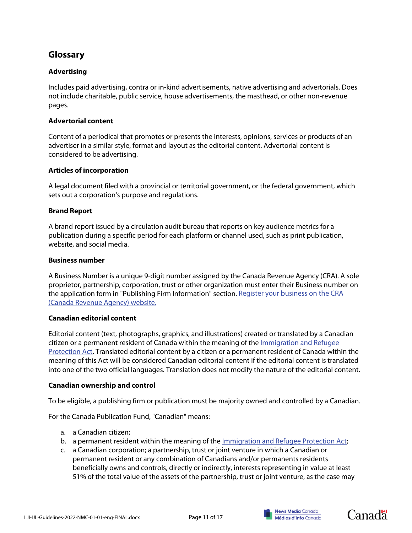# <span id="page-10-0"></span>**Glossary**

# **Advertising**

Includes paid advertising, contra or in-kind advertisements, native advertising and advertorials. Does not include charitable, public service, house advertisements, the masthead, or other non-revenue pages.

### **Advertorial content**

Content of a periodical that promotes or presents the interests, opinions, services or products of an advertiser in a similar style, format and layout as the editorial content. Advertorial content is considered to be advertising.

### **Articles of incorporation**

A legal document filed with a provincial or territorial government, or the federal government, which sets out a corporation's purpose and regulations.

### **Brand Report**

A brand report issued by a circulation audit bureau that reports on key audience metrics for a publication during a specific period for each platform or channel used, such as print publication, website, and social media.

### **Business number**

A Business Number is a unique 9-digit number assigned by the Canada Revenue Agency (CRA). A sole proprietor, partnership, corporation, trust or other organization must enter their Business number on the application form in "Publishing Firm Information" section. [Register your business on](http://www.cra-arc.gc.ca/tx/bsnss/tpcs/bn-ne/menu-eng.html) the CRA [\(Canada Revenue Agency\) website.](http://www.cra-arc.gc.ca/tx/bsnss/tpcs/bn-ne/menu-eng.html)

### **Canadian editorial content**

Editorial content (text, photographs, graphics, and illustrations) created or translated by a Canadian citizen or a permanent resident of Canada within the meaning of the [Immigration and Refugee](http://laws.justice.gc.ca/eng/acts/i-2.5/)  [Protection Act.](http://laws.justice.gc.ca/eng/acts/i-2.5/) Translated editorial content by a citizen or a permanent resident of Canada within the meaning of this Act will be considered Canadian editorial content if the editorial content is translated into one of the two official languages. Translation does not modify the nature of the editorial content.

### **Canadian ownership and control**

To be eligible, a publishing firm or publication must be majority owned and controlled by a Canadian.

For the Canada Publication Fund, "Canadian" means:

- a. a Canadian citizen;
- b. a permanent resident within the meaning of the [Immigration and Refugee Protection Act;](http://laws.justice.gc.ca/eng/acts/i-2.5/)
- c. a Canadian corporation; a partnership, trust or joint venture in which a Canadian or permanent resident or any combination of Canadians and/or permanents residents beneficially owns and controls, directly or indirectly, interests representing in value at least 51% of the total value of the assets of the partnership, trust or joint venture, as the case may





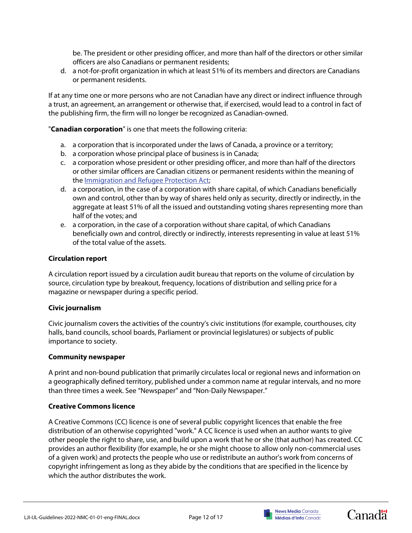be. The president or other presiding officer, and more than half of the directors or other similar officers are also Canadians or permanent residents;

d. a not-for-profit organization in which at least 51% of its members and directors are Canadians or permanent residents.

If at any time one or more persons who are not Canadian have any direct or indirect influence through a trust, an agreement, an arrangement or otherwise that, if exercised, would lead to a control in fact of the publishing firm, the firm will no longer be recognized as Canadian-owned.

"**Canadian corporation**" is one that meets the following criteria:

- a. a corporation that is incorporated under the laws of Canada, a province or a territory;
- b. a corporation whose principal place of business is in Canada;
- c. a corporation whose president or other presiding officer, and more than half of the directors or other similar officers are Canadian citizens or permanent residents within the meaning of the [Immigration and Refugee Protection Act;](http://laws.justice.gc.ca/eng/acts/i-2.5/)
- d. a corporation, in the case of a corporation with share capital, of which Canadians beneficially own and control, other than by way of shares held only as security, directly or indirectly, in the aggregate at least 51% of all the issued and outstanding voting shares representing more than half of the votes; and
- e. a corporation, in the case of a corporation without share capital, of which Canadians beneficially own and control, directly or indirectly, interests representing in value at least 51% of the total value of the assets.

### **Circulation report**

A circulation report issued by a circulation audit bureau that reports on the volume of circulation by source, circulation type by breakout, frequency, locations of distribution and selling price for a magazine or newspaper during a specific period.

### **Civic journalism**

Civic journalism covers the activities of the country's civic institutions (for example, courthouses, city halls, band councils, school boards, Parliament or provincial legislatures) or subjects of public importance to society.

### **Community newspaper**

A print and non-bound publication that primarily circulates local or regional news and information on a geographically defined territory, published under a common name at regular intervals, and no more than three times a week. See "Newspaper" and "Non-Daily Newspaper."

### **Creative Commons licence**

A Creative Commons (CC) licence is one of several public copyright licences that enable the free distribution of an otherwise copyrighted "work." A CC licence is used when an author wants to give other people the right to share, use, and build upon a work that he or she (that author) has created. CC provides an author flexibility (for example, he or she might choose to allow only non-commercial uses of a given work) and protects the people who use or redistribute an author's work from concerns of copyright infringement as long as they abide by the conditions that are specified in the licence by which the author distributes the work.





**Canadä**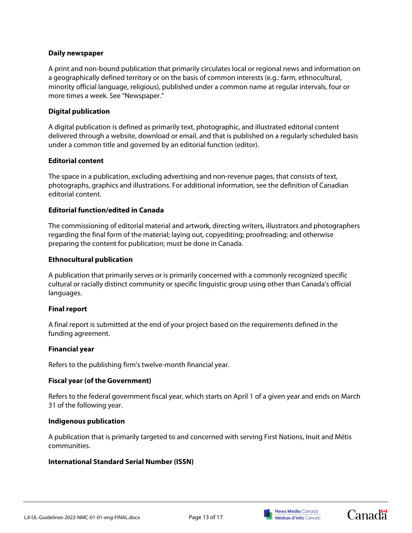### **Daily newspaper**

A print and non-bound publication that primarily circulates local or regional news and information on a geographically defined territory or on the basis of common interests (e.g.: farm, ethnocultural, minority official language, religious), published under a common name at regular intervals, four or more times a week. See "Newspaper."

### **Digital publication**

A digital publication is defined as primarily text, photographic, and illustrated editorial content delivered through a website, download or email, and that is published on a regularly scheduled basis under a common title and governed by an editorial function (editor).

### **Editorial content**

The space in a publication, excluding advertising and non-revenue pages, that consists of text, photographs, graphics and illustrations. For additional information, see the definition of Canadian editorial content.

### **Editorial function/edited in Canada**

The commissioning of editorial material and artwork, directing writers, illustrators and photographers regarding the final form of the material; laying out, copyediting; proofreading; and otherwise preparing the content for publication; must be done in Canada.

### **Ethnocultural publication**

A publication that primarily serves or is primarily concerned with a commonly recognized specific cultural or racially distinct community or specific linguistic group using other than Canada's official languages.

### **Final report**

A final report is submitted at the end of your project based on the requirements defined in the funding agreement.

### **Financial year**

Refers to the publishing firm's twelve-month financial year.

### **Fiscal year (of the Government)**

Refers to the federal government fiscal year, which starts on April 1 of a given year and ends on March 31 of the following year.

### **Indigenous publication**

A publication that is primarily targeted to and concerned with serving First Nations, Inuit and Métis communities.

# **International Standard Serial Number (ISSN)**





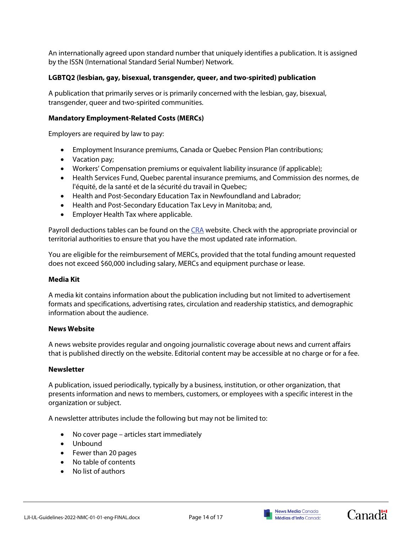An internationally agreed upon standard number that uniquely identifies a publication. It is assigned by the ISSN (International Standard Serial Number) Network.

### **LGBTQ2 (lesbian, gay, bisexual, transgender, queer, and two-spirited) publication**

A publication that primarily serves or is primarily concerned with the lesbian, gay, bisexual, transgender, queer and two-spirited communities.

### **Mandatory Employment-Related Costs (MERCs)**

Employers are required by law to pay:

- Employment Insurance premiums, Canada or Quebec Pension Plan contributions;
- Vacation pay;
- Workers' Compensation premiums or equivalent liability insurance (if applicable);
- Health Services Fund, Quebec parental insurance premiums, and Commission des normes, de l'équité, de la santé et de la sécurité du travail in Quebec;
- Health and Post-Secondary Education Tax in Newfoundland and Labrador;
- Health and Post-Secondary Education Tax Levy in Manitoba; and,
- Employer Health Tax where applicable.

Payroll deductions tables can be found on the [CRA](http://www.cra-arc.gc.ca/tx/bsnss/tpcs/pyrll/t4032/menu-eng.html) website. Check with the appropriate provincial or territorial authorities to ensure that you have the most updated rate information.

You are eligible for the reimbursement of MERCs, provided that the total funding amount requested does not exceed \$60,000 including salary, MERCs and equipment purchase or lease.

### **Media Kit**

A media kit contains information about the publication including but not limited to advertisement formats and specifications, advertising rates, circulation and readership statistics, and demographic information about the audience.

#### **News Website**

A news website provides regular and ongoing journalistic coverage about news and current affairs that is published directly on the website. Editorial content may be accessible at no charge or for a fee.

#### **Newsletter**

A publication, issued periodically, typically by a business, institution, or other organization, that presents information and news to members, customers, or employees with a specific interest in the organization or subject.

A newsletter attributes include the following but may not be limited to:

- No cover page articles start immediately
- Unbound
- Fewer than 20 pages
- No table of contents
- No list of authors



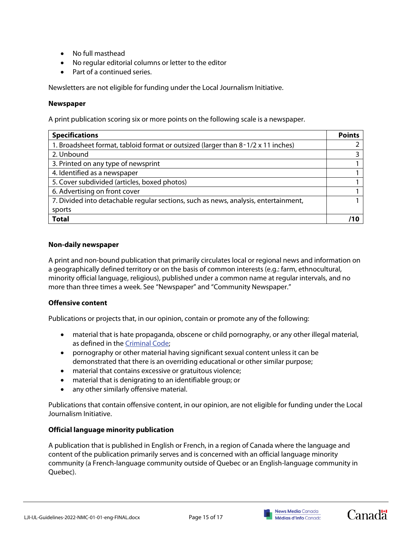- No full masthead
- No regular editorial columns or letter to the editor
- Part of a continued series.

Newsletters are not eligible for funding under the Local Journalism Initiative.

### **Newspaper**

A print publication scoring six or more points on the following scale is a newspaper.

| <b>Specifications</b>                                                               | <b>Points</b> |
|-------------------------------------------------------------------------------------|---------------|
| 1. Broadsheet format, tabloid format or outsized (larger than 8-1/2 x 11 inches)    |               |
| 2. Unbound                                                                          |               |
| 3. Printed on any type of newsprint                                                 |               |
| 4. Identified as a newspaper                                                        |               |
| 5. Cover subdivided (articles, boxed photos)                                        |               |
| 6. Advertising on front cover                                                       |               |
| 7. Divided into detachable regular sections, such as news, analysis, entertainment, |               |
| sports                                                                              |               |
| <b>Total</b>                                                                        | 11 מ          |

### **Non-daily newspaper**

A print and non-bound publication that primarily circulates local or regional news and information on a geographically defined territory or on the basis of common interests (e.g.: farm, ethnocultural, minority official language, religious), published under a common name at regular intervals, and no more than three times a week. See "Newspaper" and "Community Newspaper."

### **Offensive content**

Publications or projects that, in our opinion, contain or promote any of the following:

- material that is hate propaganda, obscene or child pornography, or any other illegal material, as defined in the [Criminal Code;](http://laws-lois.justice.gc.ca/eng/acts/C-46/)
- pornography or other material having significant sexual content unless it can be demonstrated that there is an overriding educational or other similar purpose;
- material that contains excessive or gratuitous violence;
- material that is denigrating to an identifiable group; or
- any other similarly offensive material.

Publications that contain offensive content, in our opinion, are not eligible for funding under the Local Journalism Initiative.

### **Official language minority publication**

A publication that is published in English or French, in a region of Canada where the language and content of the publication primarily serves and is concerned with an official language minority community (a French-language community outside of Quebec or an English-language community in Quebec).



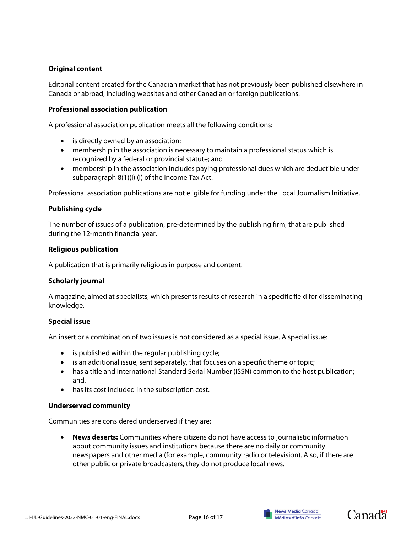# **Original content**

Editorial content created for the Canadian market that has not previously been published elsewhere in Canada or abroad, including websites and other Canadian or foreign publications.

## **Professional association publication**

A professional association publication meets all the following conditions:

- is directly owned by an association;
- membership in the association is necessary to maintain a professional status which is recognized by a federal or provincial statute; and
- membership in the association includes paying professional dues which are deductible under subparagraph 8(1)(i) (i) of the Income Tax Act.

Professional association publications are not eligible for funding under the Local Journalism Initiative.

### **Publishing cycle**

The number of issues of a publication, pre-determined by the publishing firm, that are published during the 12-month financial year.

### **Religious publication**

A publication that is primarily religious in purpose and content.

### **Scholarly journal**

A magazine, aimed at specialists, which presents results of research in a specific field for disseminating knowledge.

# **Special issue**

An insert or a combination of two issues is not considered as a special issue. A special issue:

- is published within the regular publishing cycle;
- is an additional issue, sent separately, that focuses on a specific theme or topic;
- has a title and International Standard Serial Number (ISSN) common to the host publication; and,
- has its cost included in the subscription cost.

### **Underserved community**

Communities are considered underserved if they are:

• **News deserts:** Communities where citizens do not have access to journalistic information about community issues and institutions because there are no daily or community newspapers and other media (for example, community radio or television). Also, if there are other public or private broadcasters, they do not produce local news.